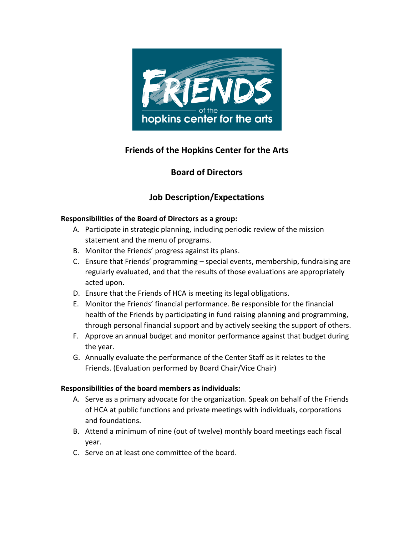

## **Friends of the Hopkins Center for the Arts**

### **Board of Directors**

# **Job Description/Expectations**

#### **Responsibilities of the Board of Directors as a group:**

- A. Participate in strategic planning, including periodic review of the mission statement and the menu of programs.
- B. Monitor the Friends' progress against its plans.
- C. Ensure that Friends' programming special events, membership, fundraising are regularly evaluated, and that the results of those evaluations are appropriately acted upon.
- D. Ensure that the Friends of HCA is meeting its legal obligations.
- E. Monitor the Friends' financial performance. Be responsible for the financial health of the Friends by participating in fund raising planning and programming, through personal financial support and by actively seeking the support of others.
- F. Approve an annual budget and monitor performance against that budget during the year.
- G. Annually evaluate the performance of the Center Staff as it relates to the Friends. (Evaluation performed by Board Chair/Vice Chair)

### **Responsibilities of the board members as individuals:**

- A. Serve as a primary advocate for the organization. Speak on behalf of the Friends of HCA at public functions and private meetings with individuals, corporations and foundations.
- B. Attend a minimum of nine (out of twelve) monthly board meetings each fiscal year.
- C. Serve on at least one committee of the board.